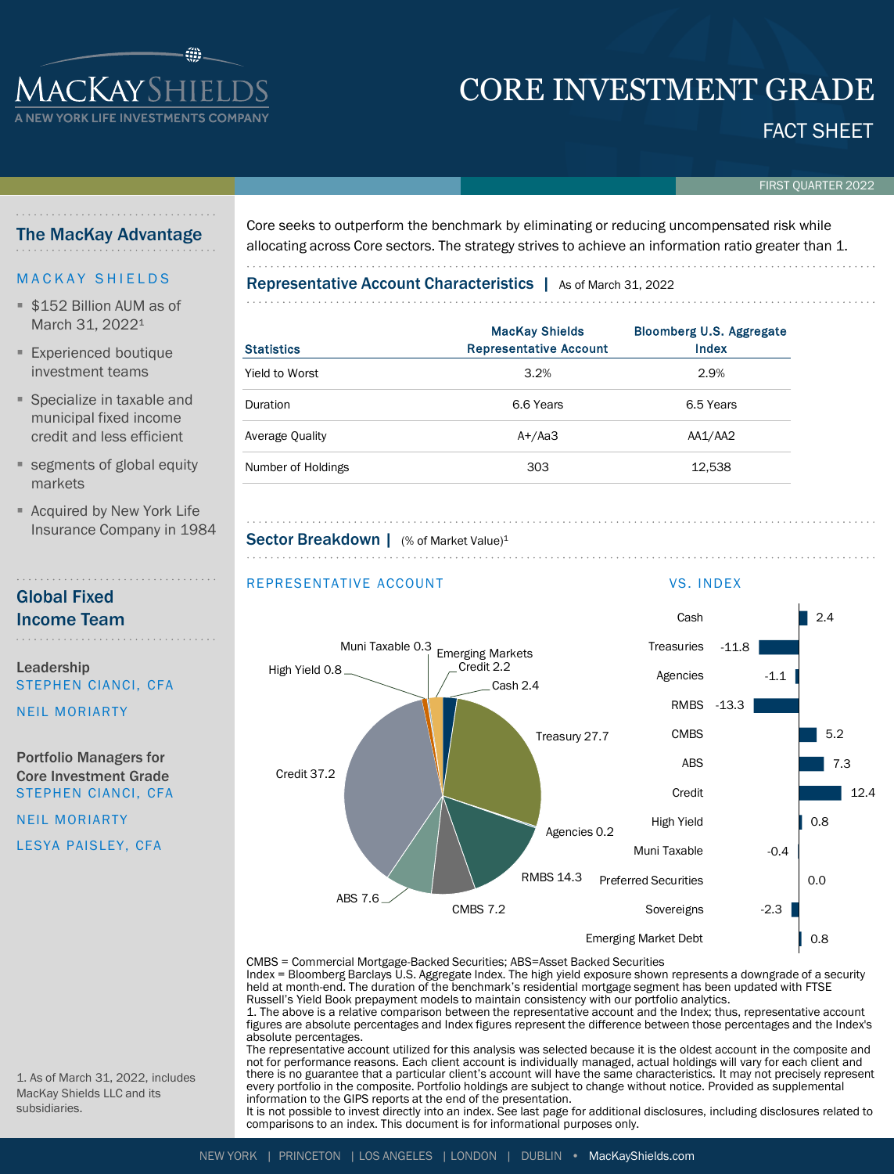# CORE INVESTMENT GRADE

### FACT SHEET

FIRST QUARTER 2022

### The MacKay Advantage

**ACKAYSHIEI YORK LIFE INVESTMENTS CO** 

### **MACKAY SHIELDS**

- **\$152 Billion AUM as of** March 31, 2022<sup>1</sup>
- **Experienced boutique** investment teams
- Specialize in taxable and municipal fixed income credit and less efficient
- **Example 1** segments of global equity markets
- **E** Acquired by New York Life Insurance Company in 1984

### Global Fixed Income Team

Leadership STEPHEN CIANCI, CFA

NEIL MORIARTY

Portfolio Managers for Core Investment Grade STEPHEN CIANCI, CFA

NEIL MORIARTY LESYA PAISLEY, CFA Core seeks to outperform the benchmark by eliminating or reducing uncompensated risk while allocating across Core sectors. The strategy strives to achieve an information ratio greater than 1.

Representative Account Characteristics | As of March 31, 2022

| <b>Statistics</b>  | <b>MacKay Shields</b><br><b>Representative Account</b> | <b>Bloomberg U.S. Aggregate</b><br>Index |
|--------------------|--------------------------------------------------------|------------------------------------------|
| Yield to Worst     | 3.2%                                                   | 2.9%                                     |
| Duration           | 6.6 Years                                              | 6.5 Years                                |
| Average Quality    | $A+/Aa3$                                               | AA1/AA2                                  |
| Number of Holdings | 303                                                    | 12,538                                   |

Sector Breakdown | (% of Market Value)<sup>1</sup>



CMBS = Commercial Mortgage-Backed Securities; ABS=Asset Backed Securities Index = Bloomberg Barclays U.S. Aggregate Index. The high yield exposure shown represents a downgrade of a security

held at month-end. The duration of the benchmark's residential mortgage segment has been updated with FTSE Russell's Yield Book prepayment models to maintain consistency with our portfolio analytics.

1. The above is a relative comparison between the representative account and the Index; thus, representative account figures are absolute percentages and Index figures represent the difference between those percentages and the Index's absolute percentages.

The representative account utilized for this analysis was selected because it is the oldest account in the composite and not for performance reasons. Each client account is individually managed, actual holdings will vary for each client and there is no guarantee that a particular client's account will have the same characteristics. It may not precisely represent every portfolio in the composite. Portfolio holdings are subject to change without notice. Provided as supplemental information to the GIPS reports at the end of the presentation.

It is not possible to invest directly into an index. See last page for additional disclosures, including disclosures related to comparisons to an index. This document is for informational purposes only.

1. As of March 31, 2022, includes MacKay Shields LLC and its subsidiaries.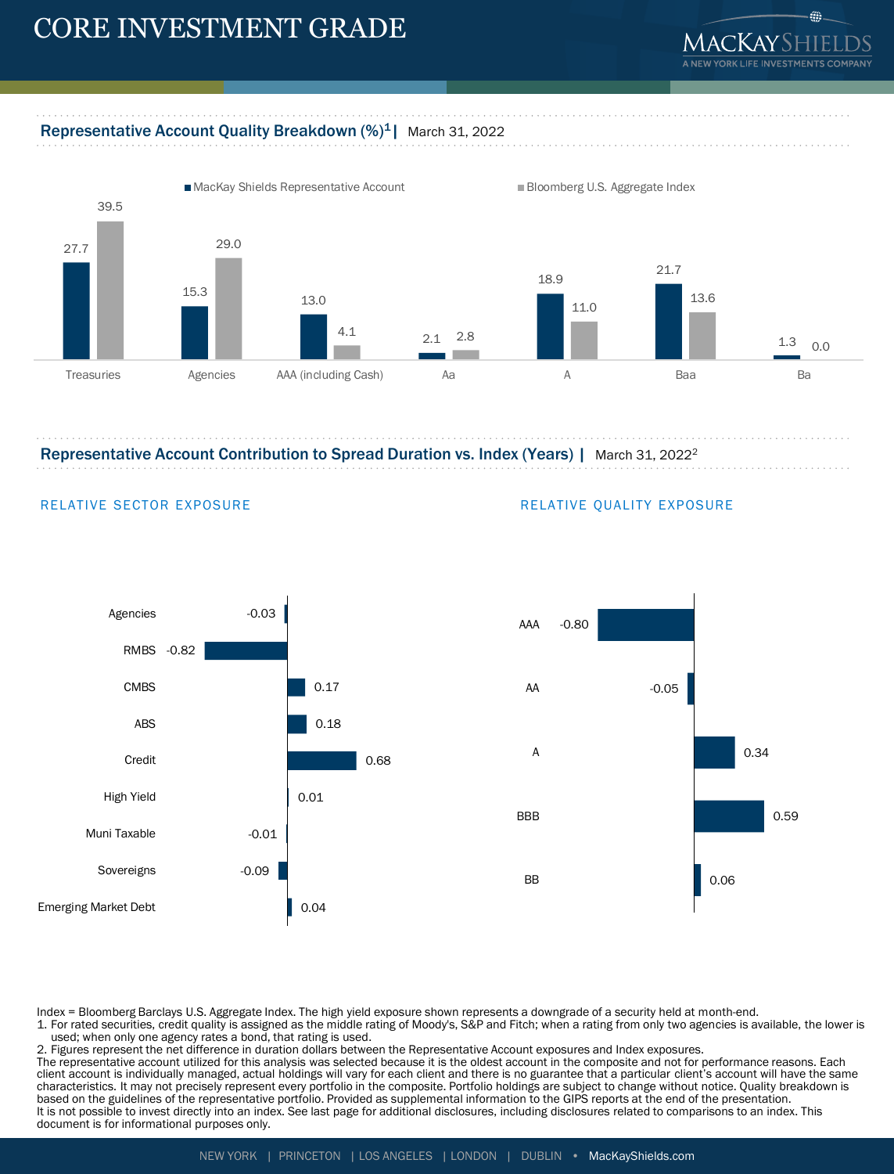## CORE INVESTMENT GRADE



éb.

### Representative Account Quality Breakdown (%)<sup>1</sup> | March 31, 2022



Representative Account Contribution to Spread Duration vs. Index (Years) | March 31, 2022<sup>2</sup>



### RELATIVE SECTOR EXPOSURE **RELATIVE QUALITY EXPOSURE**



Index = Bloomberg Barclays U.S. Aggregate Index. The high yield exposure shown represents a downgrade of a security held at month-end.

1. For rated securities, credit quality is assigned as the middle rating of Moody's, S&P and Fitch; when a rating from only two agencies is available, the lower is used; when only one agency rates a bond, that rating is used.

2. Figures represent the net difference in duration dollars between the Representative Account exposures and Index exposures. The representative account utilized for this analysis was selected because it is the oldest account in the composite and not for performance reasons. Each client account is individually managed, actual holdings will vary for each client and there is no guarantee that a particular client's account will have the same characteristics. It may not precisely represent every portfolio in the composite. Portfolio holdings are subject to change without notice. Quality breakdown is based on the guidelines of the representative portfolio. Provided as supplemental information to the GIPS reports at the end of the presentation. It is not possible to invest directly into an index. See last page for additional disclosures, including disclosures related to comparisons to an index. This document is for informational purposes only.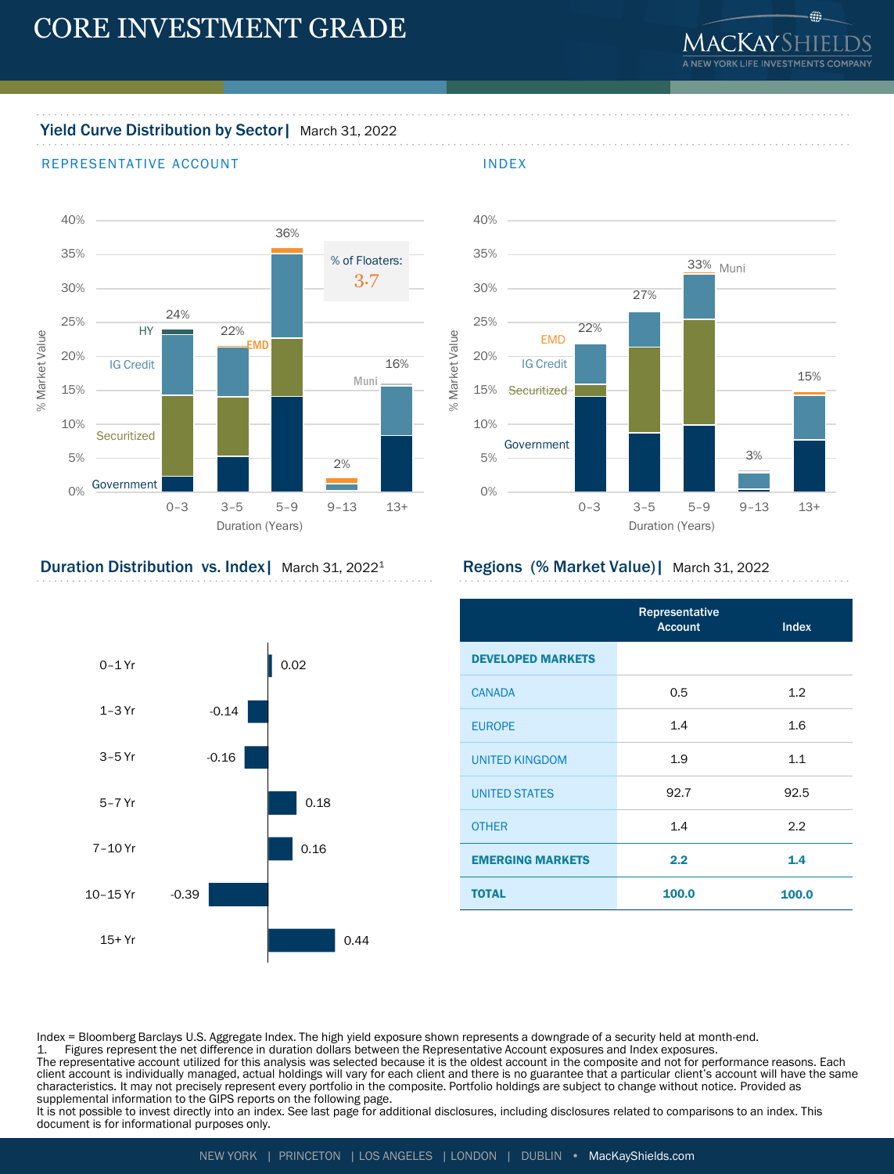

### Yield Curve Distribution by Sector | March 31, 2022

### REPRESENTATIVE ACCOUNT THE REPRESENTATIVE ACCOUNT



Duration (Years)



### Duration Distribution vs. Index | March 31, 2022<sup>1</sup> Regions (% Market Value) | March 31, 2022

|                          | Representative<br><b>Account</b> | <b>Index</b> |
|--------------------------|----------------------------------|--------------|
| <b>DEVELOPED MARKETS</b> |                                  |              |
| <b>CANADA</b>            | 0.5                              | 1.2          |
| <b>EUROPE</b>            | 1.4                              | 1.6          |
| <b>UNITED KINGDOM</b>    | 1.9                              | 1.1          |
| <b>UNITED STATES</b>     | 92.7                             | 92.5         |
| <b>OTHER</b>             | 1.4                              | 2.2          |
| <b>EMERGING MARKETS</b>  | 2.2                              | 1.4          |
| <b>TOTAL</b>             | 100.0                            | 100.0        |



Index = Bloomberg Barclays U.S. Aggregate Index. The high yield exposure shown represents a downgrade of a security held at month-end.

1. Figures represent the net difference in duration dollars between the Representative Account exposures and Index exposures.

The representative account utilized for this analysis was selected because it is the oldest account in the composite and not for performance reasons. Each<br>client account is individually managed, actual holdings will vary f characteristics. It may not precisely represent every portfolio in the composite. Portfolio holdings are subject to change without notice. Provided as supplemental information to the GIPS reports on the following page.

It is not possible to invest directly into an index. See last page for additional disclosures, including disclosures related to comparisons to an index. This document is for informational purposes only.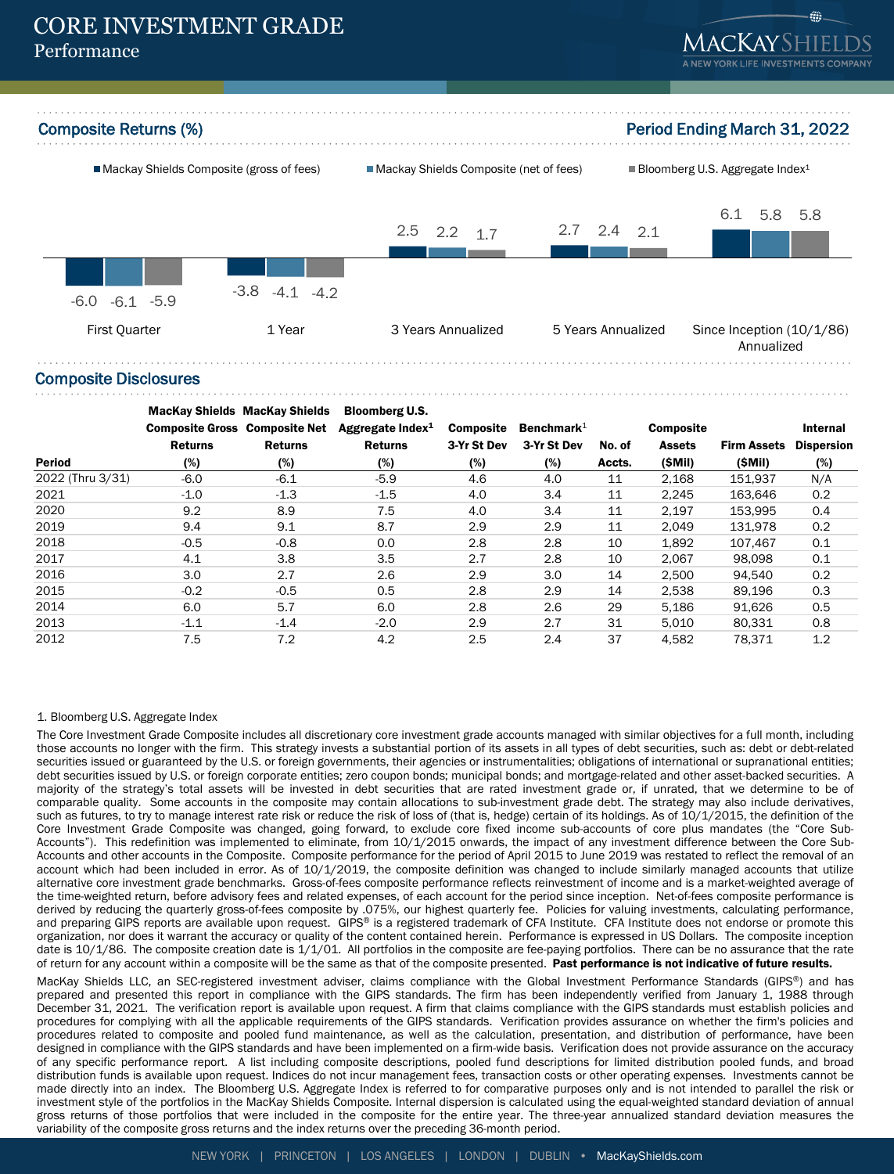



Composite Disclosures

|                  | <b>Composite Gross Composite Net</b><br><b>Returns</b> | <b>MacKay Shields MacKay Shields</b><br><b>Returns</b> | <b>Bloomberg U.S.</b><br>Aggregate Index $1$<br><b>Returns</b> | <b>Composite</b><br>3-Yr St Dev | Benchmark $1$<br>3-Yr St Dev | No. of | <b>Composite</b><br><b>Assets</b> | <b>Firm Assets</b> | <b>Internal</b><br><b>Dispersion</b> |
|------------------|--------------------------------------------------------|--------------------------------------------------------|----------------------------------------------------------------|---------------------------------|------------------------------|--------|-----------------------------------|--------------------|--------------------------------------|
| <b>Period</b>    | (%)                                                    | (%)                                                    | (%)                                                            | (%)                             | (%)                          | Accts. | (SMil)                            | (SMil)             | (%)                                  |
| 2022 (Thru 3/31) | $-6.0$                                                 | $-6.1$                                                 | $-5.9$                                                         | 4.6                             | 4.0                          | 11     | 2.168                             | 151.937            | N/A                                  |
| 2021             | $-1.0$                                                 | $-1.3$                                                 | $-1.5$                                                         | 4.0                             | 3.4                          | 11     | 2,245                             | 163.646            | 0.2                                  |
| 2020             | 9.2                                                    | 8.9                                                    | 7.5                                                            | 4.0                             | 3.4                          | 11     | 2,197                             | 153.995            | 0.4                                  |
| 2019             | 9.4                                                    | 9.1                                                    | 8.7                                                            | 2.9                             | 2.9                          | 11     | 2,049                             | 131,978            | 0.2                                  |
| 2018             | $-0.5$                                                 | $-0.8$                                                 | 0.0                                                            | 2.8                             | 2.8                          | 10     | 1,892                             | 107,467            | 0.1                                  |
| 2017             | 4.1                                                    | 3.8                                                    | 3.5                                                            | 2.7                             | 2.8                          | 10     | 2.067                             | 98.098             | 0.1                                  |
| 2016             | 3.0                                                    | 2.7                                                    | 2.6                                                            | 2.9                             | 3.0                          | 14     | 2,500                             | 94,540             | 0.2                                  |
| 2015             | $-0.2$                                                 | $-0.5$                                                 | 0.5                                                            | 2.8                             | 2.9                          | 14     | 2,538                             | 89,196             | 0.3                                  |
| 2014             | 6.0                                                    | 5.7                                                    | 6.0                                                            | 2.8                             | 2.6                          | 29     | 5.186                             | 91,626             | 0.5                                  |
| 2013             | $-1.1$                                                 | $-1.4$                                                 | $-2.0$                                                         | 2.9                             | 2.7                          | 31     | 5,010                             | 80.331             | 0.8                                  |
| 2012             | 7.5                                                    | 7.2                                                    | 4.2                                                            | 2.5                             | 2.4                          | 37     | 4.582                             | 78.371             | 1.2                                  |

#### 1. Bloomberg U.S. Aggregate Index

The Core Investment Grade Composite includes all discretionary core investment grade accounts managed with similar objectives for a full month, including those accounts no longer with the firm. This strategy invests a substantial portion of its assets in all types of debt securities, such as: debt or debt-related securities issued or guaranteed by the U.S. or foreign governments, their agencies or instrumentalities; obligations of international or supranational entities; debt securities issued by U.S. or foreign corporate entities; zero coupon bonds; municipal bonds; and mortgage-related and other asset-backed securities. A majority of the strategy's total assets will be invested in debt securities that are rated investment grade or, if unrated, that we determine to be of comparable quality. Some accounts in the composite may contain allocations to sub-investment grade debt. The strategy may also include derivatives, such as futures, to try to manage interest rate risk or reduce the risk of loss of (that is, hedge) certain of its holdings. As of  $10/1/2015$ , the definition of the Core Investment Grade Composite was changed, going forward, to exclude core fixed income sub-accounts of core plus mandates (the "Core Sub-Accounts"). This redefinition was implemented to eliminate, from 10/1/2015 onwards, the impact of any investment difference between the Core Sub-Accounts and other accounts in the Composite. Composite performance for the period of April 2015 to June 2019 was restated to reflect the removal of an account which had been included in error. As of 10/1/2019, the composite definition was changed to include similarly managed accounts that utilize alternative core investment grade benchmarks. Gross-of-fees composite performance reflects reinvestment of income and is a market-weighted average of the time-weighted return, before advisory fees and related expenses, of each account for the period since inception. Net-of-fees composite performance is derived by reducing the quarterly gross-of-fees composite by .075%, our highest quarterly fee. Policies for valuing investments, calculating performance, and preparing GIPS reports are available upon request. GIPS® is a registered trademark of CFA Institute. CFA Institute does not endorse or promote this organization, nor does it warrant the accuracy or quality of the content contained herein. Performance is expressed in US Dollars. The composite inception date is 10/1/86. The composite creation date is 1/1/01. All portfolios in the composite are fee-paying portfolios. There can be no assurance that the rate of return for any account within a composite will be the same as that of the composite presented. Past performance is not indicative of future results.

MacKay Shields LLC, an SEC-registered investment adviser, claims compliance with the Global Investment Performance Standards (GIPS®) and has prepared and presented this report in compliance with the GIPS standards. The firm has been independently verified from January 1, 1988 through December 31, 2021. The verification report is available upon request. A firm that claims compliance with the GIPS standards must establish policies and procedures for complying with all the applicable requirements of the GIPS standards. Verification provides assurance on whether the firm's policies and procedures related to composite and pooled fund maintenance, as well as the calculation, presentation, and distribution of performance, have been designed in compliance with the GIPS standards and have been implemented on a firm-wide basis. Verification does not provide assurance on the accuracy of any specific performance report. A list including composite descriptions, pooled fund descriptions for limited distribution pooled funds, and broad distribution funds is available upon request. Indices do not incur management fees, transaction costs or other operating expenses. Investments cannot be made directly into an index. The Bloomberg U.S. Aggregate Index is referred to for comparative purposes only and is not intended to parallel the risk or investment style of the portfolios in the MacKay Shields Composite. Internal dispersion is calculated using the equal-weighted standard deviation of annual gross returns of those portfolios that were included in the composite for the entire year. The three-year annualized standard deviation measures the variability of the composite gross returns and the index returns over the preceding 36-month period.